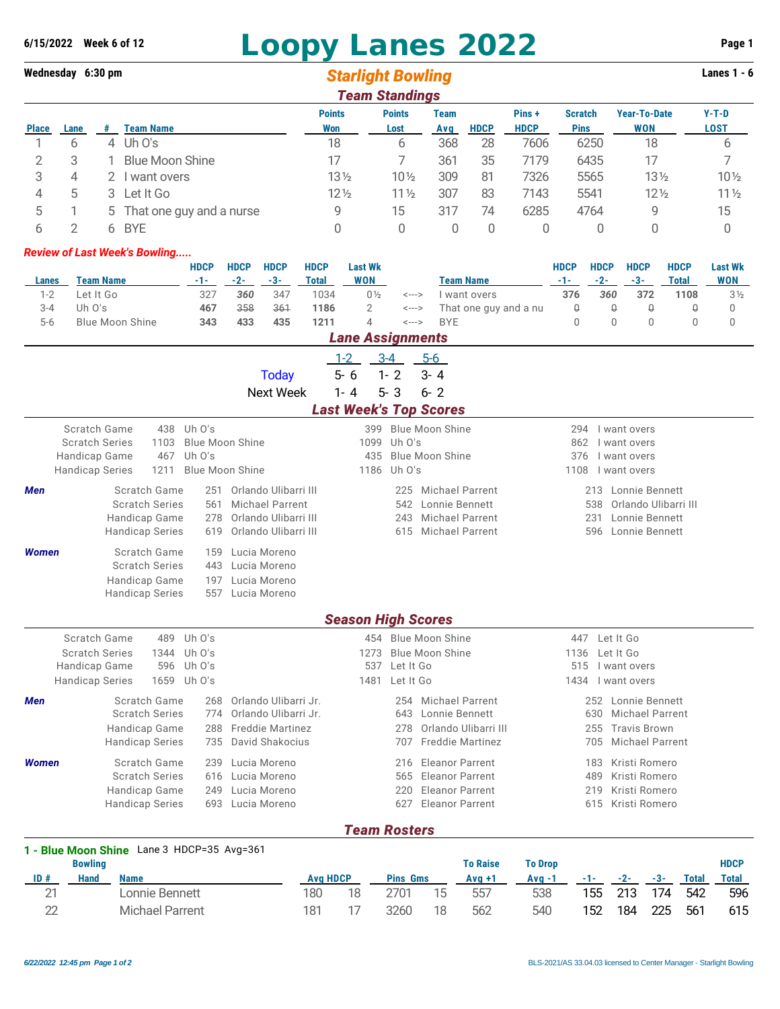## **6/15/2022 Week 6 of 12 Loopy Lanes 2022 Page 1**

## **Wednesday 6:30 pm** *Starlight Bowling* **Lanes 1 - 6** *Team Standings*

|              | <u>i caill otalitiiliyə</u> |   |                            |                 |                 |             |             |             |                |                     |                 |  |
|--------------|-----------------------------|---|----------------------------|-----------------|-----------------|-------------|-------------|-------------|----------------|---------------------|-----------------|--|
|              |                             |   |                            | <b>Points</b>   | <b>Points</b>   | <b>Team</b> |             | Pins+       | <b>Scratch</b> | <b>Year-To-Date</b> | $Y-T-D$         |  |
| <b>Place</b> | Lane                        | # | Team Name                  | Won             | Lost            | Avg         | <b>HDCP</b> | <b>HDCP</b> | <b>Pins</b>    | WON                 | <b>LOST</b>     |  |
|              |                             | 4 | Uh O's                     | 18              | 6               | 368         | 28          | 7606        | 6250           | 18                  | 6               |  |
|              |                             |   | <b>Blue Moon Shine</b>     |                 |                 | 361         | 35          | 7179        | 6435           | 17                  |                 |  |
|              |                             |   | l want overs               | $13\frac{1}{2}$ | $10\%$          | 309         | 81          | 7326        | 5565           | $13\frac{1}{2}$     | $10\frac{1}{2}$ |  |
| 4            | 5                           |   | 3 Let It Go                | $12\frac{1}{2}$ | $11\frac{1}{2}$ | 307         | 83          | 7143        | 5541           | $12\frac{1}{2}$     | 11 <sub>2</sub> |  |
| 5            |                             |   | 5 That one guy and a nurse | 9               | 15              | 317         | 74          | 6285        | 4764           | 9                   | 15              |  |
|              |                             |   | 6 BYE                      | 0               |                 |             | 0           |             |                |                     |                 |  |

## *Review of Last Week's Bowling.....*

| <b>Team Name</b><br>Lanes                  | <b>HDCP</b><br>$-1-$   | <b>HDCP</b><br>$-2-$        | <b>HDCP</b><br>$-3-$<br>347      | <b>HDCP</b><br><b>Total</b><br>1034 | <b>Last Wk</b><br><b>WON</b>  |                            | <b>Team Name</b>        | <b>HDCP</b><br>$-1-$ | <b>HDCP</b><br>$-2-$<br>360 | <b>HDCP</b><br>$-3-$<br>372 | <b>HDCP</b><br><b>Total</b> | <b>Last Wk</b><br><b>WON</b><br>3 <sub>2</sub> |  |
|--------------------------------------------|------------------------|-----------------------------|----------------------------------|-------------------------------------|-------------------------------|----------------------------|-------------------------|----------------------|-----------------------------|-----------------------------|-----------------------------|------------------------------------------------|--|
| Let It Go<br>$1 - 2$                       | 327                    | 360                         |                                  |                                     | $0\frac{1}{2}$                | <--->                      | I want overs            | 376                  |                             |                             | 1108                        |                                                |  |
| $3 - 4$<br>Uh $0's$                        | 467                    | 358                         | 361                              | 1186                                | $\overline{2}$                | <--->                      | That one guy and a nu   | $\mathbb Q$          | $\mathbb Q$                 | $\mathbb Q$                 | $\hbox{O}$                  | $\mathbf 0$                                    |  |
| $5 - 6$<br><b>Blue Moon Shine</b>          | 343                    | 433                         | 435                              | 1211                                | 4                             | $\leftarrow$ $\rightarrow$ | <b>BYE</b>              | $\Omega$             | $\overline{0}$              | $\mathbf 0$                 | $\mathbf 0$                 | $\mathbf{0}$                                   |  |
|                                            |                        |                             |                                  |                                     | <b>Lane Assignments</b>       |                            |                         |                      |                             |                             |                             |                                                |  |
|                                            |                        |                             |                                  |                                     | $1 - 2$                       | $3 - 4$                    | $5-6$                   |                      |                             |                             |                             |                                                |  |
|                                            | $3 - 4$                |                             |                                  |                                     |                               |                            |                         |                      |                             |                             |                             |                                                |  |
|                                            |                        |                             | <b>Today</b><br><b>Next Week</b> |                                     | $1 - 4$                       | $5 - 3$                    | $6 - 2$                 |                      |                             |                             |                             |                                                |  |
|                                            |                        |                             |                                  |                                     | <b>Last Week's Top Scores</b> |                            |                         |                      |                             |                             |                             |                                                |  |
| Scratch Game                               | 438 Uh O's             |                             |                                  |                                     | 399                           |                            | <b>Blue Moon Shine</b>  | 294                  |                             | I want overs                |                             |                                                |  |
| <b>Scratch Series</b><br>1103              | <b>Blue Moon Shine</b> |                             |                                  |                                     | 1099                          | Uh $0's$                   |                         | 862                  |                             | I want overs                |                             |                                                |  |
| 467<br>Handicap Game                       | Uh O's                 |                             |                                  |                                     | 435                           |                            | <b>Blue Moon Shine</b>  | 376                  |                             | I want overs                |                             |                                                |  |
| 1211<br><b>Handicap Series</b>             | <b>Blue Moon Shine</b> |                             |                                  |                                     | 1186                          | Uh $0's$                   |                         | 1108                 |                             | I want overs                |                             |                                                |  |
| Scratch Game<br>Men                        |                        | Orlando Ulibarri III<br>251 |                                  |                                     |                               | 225                        | <b>Michael Parrent</b>  |                      | 213<br>Lonnie Bennett       |                             |                             |                                                |  |
| <b>Scratch Series</b>                      | 561                    |                             | <b>Michael Parrent</b>           |                                     |                               | 542                        | Lonnie Bennett          |                      | 538                         |                             | Orlando Ulibarri III        |                                                |  |
| Handicap Game                              | 278                    |                             | Orlando Ulibarri III             |                                     |                               | 243                        | <b>Michael Parrent</b>  |                      | 231                         | Lonnie Bennett              |                             |                                                |  |
| <b>Handicap Series</b>                     | 619                    |                             | Orlando Ulibarri III             |                                     |                               | 615                        | <b>Michael Parrent</b>  |                      | 596                         | Lonnie Bennett              |                             |                                                |  |
| Scratch Game<br><b>Women</b>               | 159                    |                             | Lucia Moreno                     |                                     |                               |                            |                         |                      |                             |                             |                             |                                                |  |
| <b>Scratch Series</b>                      | 443                    |                             | Lucia Moreno                     |                                     |                               |                            |                         |                      |                             |                             |                             |                                                |  |
| Handicap Game                              | 197                    |                             | Lucia Moreno                     |                                     |                               |                            |                         |                      |                             |                             |                             |                                                |  |
| <b>Handicap Series</b>                     | 557                    |                             | Lucia Moreno                     |                                     |                               |                            |                         |                      |                             |                             |                             |                                                |  |
|                                            |                        |                             |                                  |                                     | <b>Season High Scores</b>     |                            |                         |                      |                             |                             |                             |                                                |  |
| Scratch Game<br>489                        | Uh O's                 |                             |                                  |                                     |                               |                            | 454 Blue Moon Shine     |                      | 447 Let It Go               |                             |                             |                                                |  |
| <b>Scratch Series</b><br>1344              | Uh $0's$               |                             |                                  |                                     | 1273                          |                            | <b>Blue Moon Shine</b>  | 1136                 | Let It Go                   |                             |                             |                                                |  |
| Handicap Game<br>596                       | Uh $0's$               |                             |                                  |                                     | 537                           | Let It Go                  |                         | 515                  |                             | I want overs                |                             |                                                |  |
| 1659<br><b>Handicap Series</b>             | Uh O's                 |                             |                                  |                                     | 1481                          | Let It Go                  |                         | 1434                 |                             | I want overs                |                             |                                                |  |
| Scratch Game<br>Men                        | 268                    |                             | Orlando Ulibarri Jr.             |                                     |                               | 254                        | <b>Michael Parrent</b>  |                      | 252                         | Lonnie Bennett              |                             |                                                |  |
| <b>Scratch Series</b>                      | 774                    |                             | Orlando Ulibarri Jr.             |                                     |                               | 643                        | Lonnie Bennett          |                      | 630                         | <b>Michael Parrent</b>      |                             |                                                |  |
| Handicap Game                              | 288                    |                             | <b>Freddie Martinez</b>          |                                     |                               | 278                        | Orlando Ulibarri III    |                      | 255                         | <b>Travis Brown</b>         |                             |                                                |  |
| <b>Handicap Series</b>                     | 735                    |                             | David Shakocius                  |                                     |                               | 707                        | <b>Freddie Martinez</b> |                      | 705                         | <b>Michael Parrent</b>      |                             |                                                |  |
| Scratch Game<br><b>Women</b>               | 239                    |                             | Lucia Moreno                     |                                     |                               | 216                        | <b>Eleanor Parrent</b>  |                      | 183                         | Kristi Romero               |                             |                                                |  |
| <b>Scratch Series</b>                      | 616                    |                             | Lucia Moreno                     |                                     |                               | 565                        | <b>Eleanor Parrent</b>  |                      | 489                         | Kristi Romero               |                             |                                                |  |
| Handicap Game                              | 249                    |                             | Lucia Moreno                     |                                     |                               | 220                        | <b>Eleanor Parrent</b>  |                      | 219                         | Kristi Romero               |                             |                                                |  |
| <b>Handicap Series</b>                     | 693                    |                             | Lucia Moreno                     |                                     |                               | 627                        | <b>Eleanor Parrent</b>  |                      | 615                         | Kristi Romero               |                             |                                                |  |
|                                            |                        |                             |                                  |                                     | <b>Team Rosters</b>           |                            |                         |                      |                             |                             |                             |                                                |  |
| 1 - Blue Moon Shine Lane 3 HDCP=35 Avg=361 |                        |                             |                                  |                                     |                               |                            |                         |                      |                             |                             |                             |                                                |  |

## **Bowling To Raise To Drop HDCP ID # Hand Name Avg HDCP Pins Gms Avg +1 Avg -1 -1- -2- -3- Total Total** 21 Lonnie Bennett 180 18 2701 15 557 538 155 213 174 542 596 22 Michael Parrent 181 17 3260 18 562 540 152 184 225 561 615